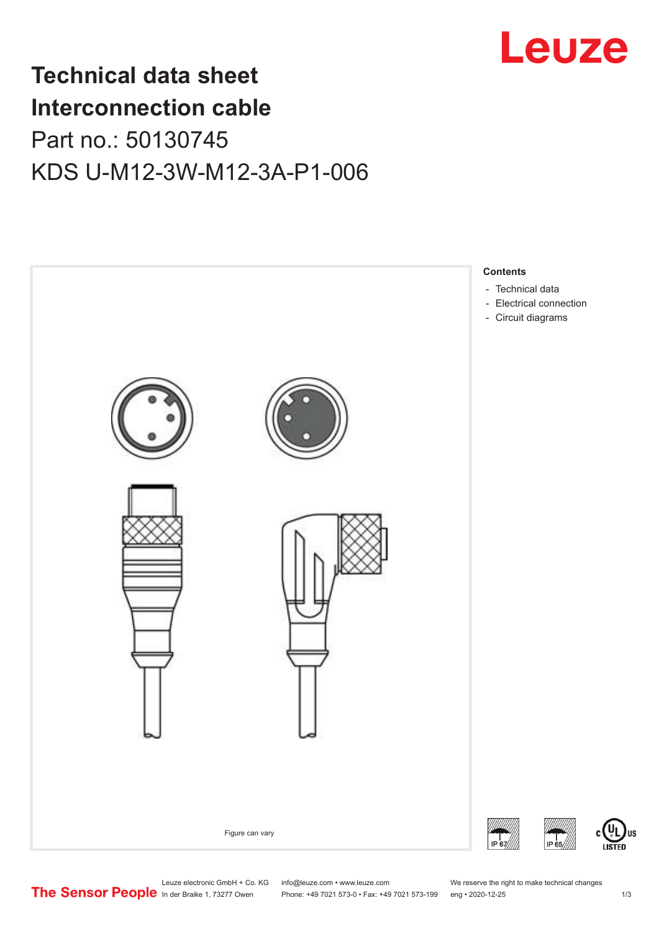

## **Technical data sheet Interconnection cable** Part no.: 50130745 KDS U-M12-3W-M12-3A-P1-006



Leuze electronic GmbH + Co. KG info@leuze.com • www.leuze.com We reserve the right to make technical changes<br> **The Sensor People** in der Braike 1, 73277 Owen Phone: +49 7021 573-0 • Fax: +49 7021 573-199 eng • 2020-12-25

Phone: +49 7021 573-0 • Fax: +49 7021 573-199 eng • 2020-12-25 1 2020-12-25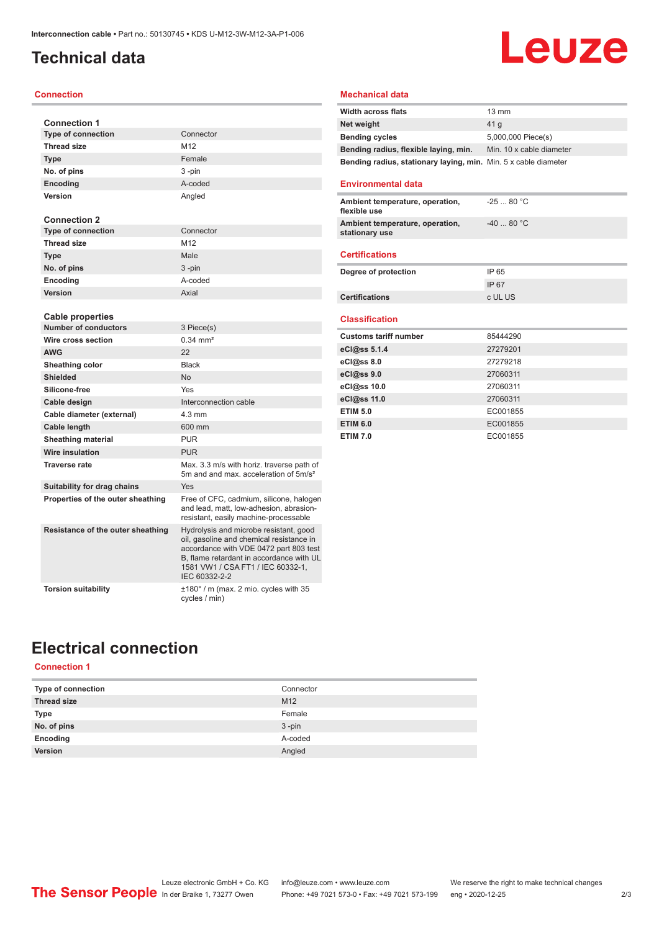### <span id="page-1-0"></span>**Technical data**

#### **Connection**

| <b>Connection 1</b>               |                                                                                                                                                                                                                                |
|-----------------------------------|--------------------------------------------------------------------------------------------------------------------------------------------------------------------------------------------------------------------------------|
| <b>Type of connection</b>         | Connector                                                                                                                                                                                                                      |
| <b>Thread size</b>                | M12                                                                                                                                                                                                                            |
| <b>Type</b>                       | Female                                                                                                                                                                                                                         |
| No. of pins                       | 3-pin                                                                                                                                                                                                                          |
| Encoding                          | A-coded                                                                                                                                                                                                                        |
| Version                           | Angled                                                                                                                                                                                                                         |
|                                   |                                                                                                                                                                                                                                |
| <b>Connection 2</b>               |                                                                                                                                                                                                                                |
| <b>Type of connection</b>         | Connector                                                                                                                                                                                                                      |
| <b>Thread size</b>                | M12                                                                                                                                                                                                                            |
| <b>Type</b>                       | Male                                                                                                                                                                                                                           |
| No. of pins                       | 3-pin                                                                                                                                                                                                                          |
| Encoding                          | A-coded                                                                                                                                                                                                                        |
| Version                           | Axial                                                                                                                                                                                                                          |
|                                   |                                                                                                                                                                                                                                |
| <b>Cable properties</b>           |                                                                                                                                                                                                                                |
| <b>Number of conductors</b>       | 3 Piece(s)                                                                                                                                                                                                                     |
| Wire cross section                | $0.34 \, \text{mm}^2$                                                                                                                                                                                                          |
| <b>AWG</b>                        | 22                                                                                                                                                                                                                             |
| Sheathing color                   | <b>Black</b>                                                                                                                                                                                                                   |
| <b>Shielded</b>                   | No                                                                                                                                                                                                                             |
| Silicone-free                     | Yes                                                                                                                                                                                                                            |
| Cable design                      | Interconnection cable                                                                                                                                                                                                          |
| Cable diameter (external)         | $4.3 \text{ mm}$                                                                                                                                                                                                               |
| Cable length                      | 600 mm                                                                                                                                                                                                                         |
| <b>Sheathing material</b>         | <b>PUR</b>                                                                                                                                                                                                                     |
| Wire insulation                   | <b>PUR</b>                                                                                                                                                                                                                     |
| <b>Traverse rate</b>              | Max. 3.3 m/s with horiz. traverse path of<br>5m and and max, acceleration of 5m/s <sup>2</sup>                                                                                                                                 |
| Suitability for drag chains       | Yes                                                                                                                                                                                                                            |
| Properties of the outer sheathing | Free of CFC, cadmium, silicone, halogen<br>and lead, matt, low-adhesion, abrasion-<br>resistant, easily machine-processable                                                                                                    |
| Resistance of the outer sheathing | Hydrolysis and microbe resistant, good<br>oil, gasoline and chemical resistance in<br>accordance with VDE 0472 part 803 test<br>B, flame retardant in accordance with UL<br>1581 VW1 / CSA FT1 / IEC 60332-1,<br>IEC 60332-2-2 |
| <b>Torsion suitability</b>        | ±180° / m (max. 2 mio. cycles with 35<br>cycles / min)                                                                                                                                                                         |

### **Mechanical data**

| <b>Width across flats</b>                                       | $13 \text{ mm}$          |
|-----------------------------------------------------------------|--------------------------|
| Net weight                                                      | 41 <sub>a</sub>          |
| <b>Bending cycles</b>                                           | 5,000,000 Piece(s)       |
| Bending radius, flexible laying, min.                           | Min. 10 x cable diameter |
| Bending radius, stationary laying, min. Min. 5 x cable diameter |                          |

**Leuze** 

#### **Environmental data**

| Ambient temperature, operation,<br>flexible use   | $-2580 °C$ |
|---------------------------------------------------|------------|
| Ambient temperature, operation,<br>stationary use | $-4080 °C$ |

#### **Certifications**

| Degree of protection  | IP 65   |
|-----------------------|---------|
|                       | IP 67   |
| <b>Certifications</b> | c UL US |

#### **Classification**

| <b>Customs tariff number</b> | 85444290 |
|------------------------------|----------|
| eCl@ss 5.1.4                 | 27279201 |
| $eC/\omega$ ss 8.0           | 27279218 |
| eCl@ss 9.0                   | 27060311 |
| eCl@ss 10.0                  | 27060311 |
| eCl@ss 11.0                  | 27060311 |
| <b>ETIM 5.0</b>              | EC001855 |
| <b>ETIM 6.0</b>              | EC001855 |
| <b>ETIM 7.0</b>              | EC001855 |

### **Electrical connection**

### **Connection 1**

| Type of connection | Connector       |
|--------------------|-----------------|
| <b>Thread size</b> | M <sub>12</sub> |
| <b>Type</b>        | Female          |
| No. of pins        | $3 - pin$       |
| Encoding           | A-coded         |
| Version            | Angled          |